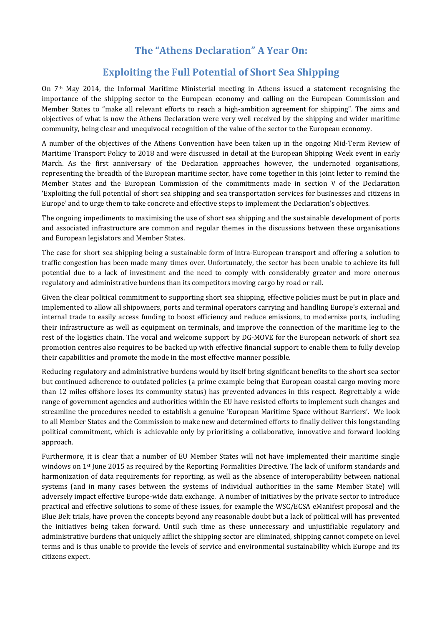## **The "Athens Declaration" A Year On:**

## **Exploiting the Full Potential of Short Sea Shipping**

On 7th May 2014, the Informal Maritime Ministerial meeting in Athens issued a statement recognising the importance of the shipping sector to the European economy and calling on the European Commission and Member States to "make all relevant efforts to reach a high-ambition agreement for shipping". The aims and objectives of what is now the Athens Declaration were very well received by the shipping and wider maritime community, being clear and unequivocal recognition of the value of the sector to the European economy.

A number of the objectives of the Athens Convention have been taken up in the ongoing Mid-Term Review of Maritime Transport Policy to 2018 and were discussed in detail at the European Shipping Week event in early March. As the first anniversary of the Declaration approaches however, the undernoted organisations, representing the breadth of the European maritime sector, have come together in this joint letter to remind the Member States and the European Commission of the commitments made in section V of the Declaration 'Exploiting the full potential of short sea shipping and sea transportation services for businesses and citizens in Europe' and to urge them to take concrete and effective steps to implement the Declaration's objectives.

The ongoing impediments to maximising the use of short sea shipping and the sustainable development of ports and associated infrastructure are common and regular themes in the discussions between these organisations and European legislators and Member States.

The case for short sea shipping being a sustainable form of intra-European transport and offering a solution to traffic congestion has been made many times over. Unfortunately, the sector has been unable to achieve its full potential due to a lack of investment and the need to comply with considerably greater and more onerous regulatory and administrative burdens than its competitors moving cargo by road or rail.

Given the clear political commitment to supporting short sea shipping, effective policies must be put in place and implemented to allow all shipowners, ports and terminal operators carrying and handling Europe's external and internal trade to easily access funding to boost efficiency and reduce emissions, to modernize ports, including their infrastructure as well as equipment on terminals, and improve the connection of the maritime leg to the rest of the logistics chain. The vocal and welcome support by DG-MOVE for the European network of short sea promotion centres also requires to be backed up with effective financial support to enable them to fully develop their capabilities and promote the mode in the most effective manner possible.

Reducing regulatory and administrative burdens would by itself bring significant benefits to the short sea sector but continued adherence to outdated policies (a prime example being that European coastal cargo moving more than 12 miles offshore loses its community status) has prevented advances in this respect. Regrettably a wide range of government agencies and authorities within the EU have resisted efforts to implement such changes and streamline the procedures needed to establish a genuine 'European Maritime Space without Barriers'. We look to all Member States and the Commission to make new and determined efforts to finally deliver this longstanding political commitment, which is achievable only by prioritising a collaborative, innovative and forward looking approach.

Furthermore, it is clear that a number of EU Member States will not have implemented their maritime single windows on 1st June 2015 as required by the Reporting Formalities Directive. The lack of uniform standards and harmonization of data requirements for reporting, as well as the absence of interoperability between national systems (and in many cases between the systems of individual authorities in the same Member State) will adversely impact effective Europe-wide data exchange. A number of initiatives by the private sector to introduce practical and effective solutions to some of these issues, for example the WSC/ECSA eManifest proposal and the Blue Belt trials, have proven the concepts beyond any reasonable doubt but a lack of political will has prevented the initiatives being taken forward. Until such time as these unnecessary and unjustifiable regulatory and administrative burdens that uniquely afflict the shipping sector are eliminated, shipping cannot compete on level terms and is thus unable to provide the levels of service and environmental sustainability which Europe and its citizens expect.